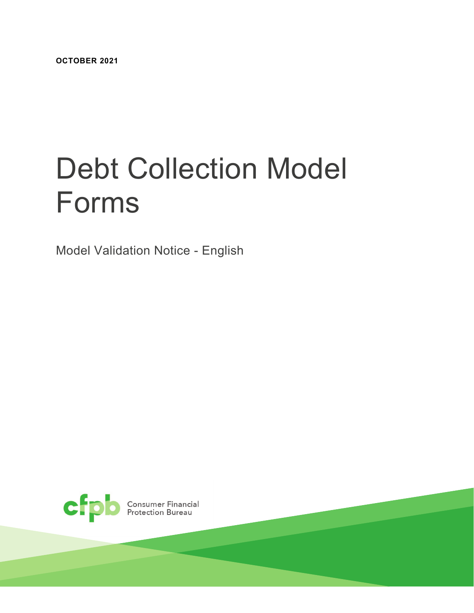**OCTOBER 2021**

# Debt Collection Model Forms

Model Validation Notice - English

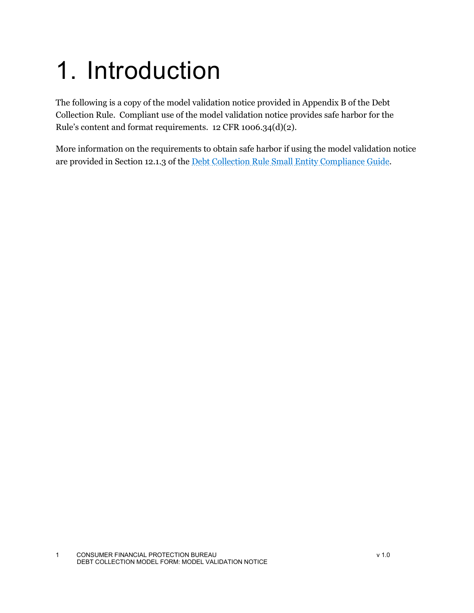## 1. Introduction

The following is a copy of the model validation notice provided in Appendix B of the Debt Collection Rule. Compliant use of the model validation notice provides safe harbor for the Rule's content and format requirements. 12 CFR 1006.34(d)(2).

More information on the requirements to obtain safe harbor if using the model validation notice are provided in Section 12.1.3 of the [Debt Collection Rule Small Entity Compliance Guide.](https://files.consumerfinance.gov/f/documents/cfpb_debt-collection_small-entity-compliance-guide.pdf)